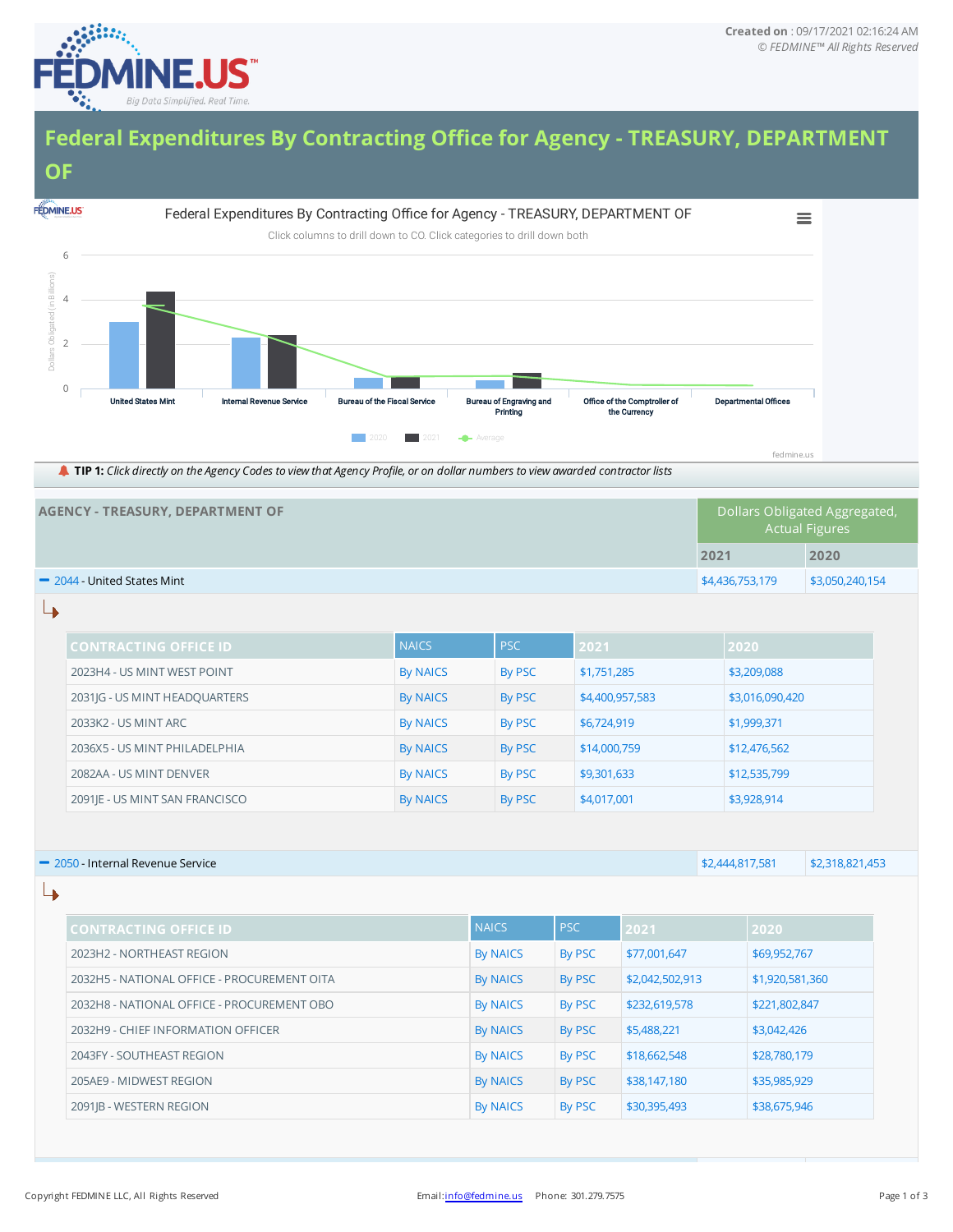

## **Federal Expenditures By Contracting Office for Agency - TREASURY, DEPARTMENT OF**



TIP 1: Click directly on the Agency Codes to view that Agency Profile, or on dollar numbers to view awarded contractor lists

| AGENCY - TREASURY, DEPARTMENT OF         |                 | Dollars Obligated Aggregated,<br><b>Actual Figures</b> |  |  |  |
|------------------------------------------|-----------------|--------------------------------------------------------|--|--|--|
|                                          | 2021            | 2020                                                   |  |  |  |
| $\blacksquare$ 2044 - United States Mint | \$4,436,753,179 | \$3,050,240,154                                        |  |  |  |

↳

| <b>CONTRACTING OFFICE ID</b>   | <b>NAICS</b>    | <b>PSC</b> | 2021            | 2020            |
|--------------------------------|-----------------|------------|-----------------|-----------------|
| 2023H4 - US MINT WEST POINT    | By NAICS        | By PSC     | \$1,751,285     | \$3,209,088     |
| 2031JG - US MINT HEADQUARTERS  | By NAICS        | By PSC     | \$4,400,957,583 | \$3,016,090,420 |
| 2033K2 - US MINT ARC           | By NAICS        | By PSC     | \$6,724,919     | \$1,999,371     |
| 2036X5 - US MINT PHILADELPHIA  | <b>By NAICS</b> | By PSC     | \$14,000,759    | \$12,476,562    |
| 2082AA - US MINT DENVER        | By NAICS        | By PSC     | \$9,301,633     | \$12,535,799    |
| 2091 E - US MINT SAN FRANCISCO | By NAICS        | By PSC     | \$4,017,001     | \$3,928,914     |

|   | 2050 - Internal Revenue Service             |                 | \$2,444,817,581 | \$2,318,821,453 |                 |  |
|---|---------------------------------------------|-----------------|-----------------|-----------------|-----------------|--|
| ↳ |                                             |                 |                 |                 |                 |  |
|   | <b>CONTRACTING OFFICE ID</b>                | <b>NAICS</b>    | <b>PSC</b>      | 2021            | 2020            |  |
|   | 2023H2 - NORTHEAST REGION                   | <b>By NAICS</b> | By PSC          | \$77,001,647    | \$69,952,767    |  |
|   | 2032H5 - NATIONAL OFFICE - PROCUREMENT OITA | <b>By NAICS</b> | By PSC          | \$2,042,502,913 | \$1,920,581,360 |  |
|   | 2032H8 - NATIONAL OFFICE - PROCUREMENT OBO  | <b>By NAICS</b> | By PSC          | \$232,619,578   | \$221,802,847   |  |
|   | 2032H9 - CHIEF INFORMATION OFFICER          | <b>By NAICS</b> | By PSC          | \$5,488,221     | \$3,042,426     |  |
|   | 2043FY - SOUTHEAST REGION                   | <b>By NAICS</b> | By PSC          | \$18,662,548    | \$28,780,179    |  |
|   | 205AE9 - MIDWEST REGION                     | <b>By NAICS</b> | By PSC          | \$38,147,180    | \$35,985,929    |  |
|   | 2091 B - WESTERN REGION                     | <b>By NAICS</b> | By PSC          | \$30,395,493    | \$38,675,946    |  |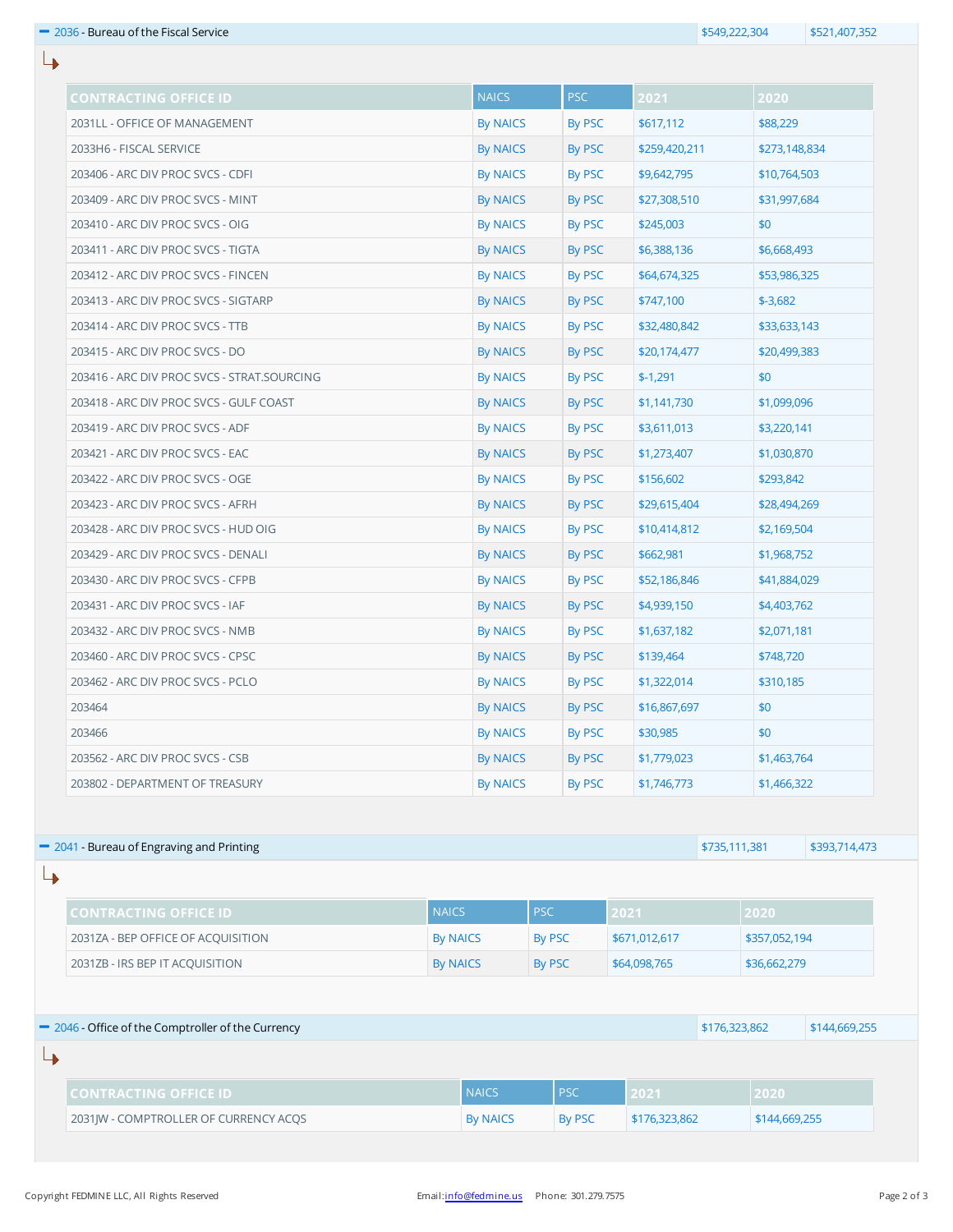| <b>CONTRACTING OFFICE ID</b>                                                                          |  | <b>NAICS</b>    | <b>PSC</b>         | 2021          |               | 2020          |               |  |
|-------------------------------------------------------------------------------------------------------|--|-----------------|--------------------|---------------|---------------|---------------|---------------|--|
| 2031LL - OFFICE OF MANAGEMENT                                                                         |  | <b>By NAICS</b> | <b>By PSC</b>      | \$617,112     |               | \$88,229      |               |  |
| 2033H6 - FISCAL SERVICE                                                                               |  | <b>By NAICS</b> | By PSC             | \$259,420,211 |               | \$273,148,834 |               |  |
| 203406 - ARC DIV PROC SVCS - CDFI                                                                     |  | <b>By NAICS</b> | By PSC             | \$9,642,795   |               | \$10,764,503  |               |  |
| 203409 - ARC DIV PROC SVCS - MINT                                                                     |  | By NAICS        | <b>By PSC</b>      | \$27,308,510  |               | \$31,997,684  |               |  |
| 203410 - ARC DIV PROC SVCS - OIG                                                                      |  | By NAICS        | By PSC             | \$245,003     |               | \$0           |               |  |
| 203411 - ARC DIV PROC SVCS - TIGTA                                                                    |  | By NAICS        | By PSC             | \$6,388,136   |               | \$6,668,493   |               |  |
| 203412 - ARC DIV PROC SVCS - FINCEN                                                                   |  | <b>By NAICS</b> | By PSC             | \$64,674,325  |               | \$53,986,325  |               |  |
| 203413 - ARC DIV PROC SVCS - SIGTARP                                                                  |  | By NAICS        | By PSC             | \$747,100     |               | $$ -3,682$    |               |  |
| 203414 - ARC DIV PROC SVCS - TTB                                                                      |  | <b>By NAICS</b> | By PSC             | \$32,480,842  |               | \$33,633,143  |               |  |
| 203415 - ARC DIV PROC SVCS - DO                                                                       |  | By NAICS        | By PSC             | \$20,174,477  |               | \$20,499,383  |               |  |
| 203416 - ARC DIV PROC SVCS - STRAT.SOURCING                                                           |  | <b>By NAICS</b> | By PSC             | $$-1,291$     |               | \$0           |               |  |
| 203418 - ARC DIV PROC SVCS - GULF COAST                                                               |  | By NAICS        | By PSC             | \$1,141,730   |               | \$1,099,096   |               |  |
| 203419 - ARC DIV PROC SVCS - ADF                                                                      |  | <b>By NAICS</b> | <b>By PSC</b>      | \$3,611,013   |               | \$3,220,141   |               |  |
| 203421 - ARC DIV PROC SVCS - EAC                                                                      |  | By NAICS        | By PSC             | \$1,273,407   |               | \$1,030,870   |               |  |
| 203422 - ARC DIV PROC SVCS - OGE                                                                      |  | By NAICS        | By PSC             | \$156,602     |               | \$293,842     |               |  |
| 203423 - ARC DIV PROC SVCS - AFRH                                                                     |  | By NAICS        | By PSC             |               | \$29,615,404  |               | \$28,494,269  |  |
| 203428 - ARC DIV PROC SVCS - HUD OIG                                                                  |  | <b>By NAICS</b> | <b>By PSC</b>      | \$10,414,812  |               | \$2,169,504   |               |  |
| 203429 - ARC DIV PROC SVCS - DENALI                                                                   |  | <b>By NAICS</b> | <b>By PSC</b>      | \$662,981     |               | \$1,968,752   |               |  |
| 203430 - ARC DIV PROC SVCS - CFPB                                                                     |  | By NAICS        | By PSC             | \$52,186,846  |               | \$41,884,029  |               |  |
| 203431 - ARC DIV PROC SVCS - IAF                                                                      |  | <b>By NAICS</b> | By PSC             |               | \$4,939,150   |               | \$4,403,762   |  |
| 203432 - ARC DIV PROC SVCS - NMB                                                                      |  |                 | By NAICS<br>By PSC | \$1,637,182   | \$2,071,181   |               |               |  |
| 203460 - ARC DIV PROC SVCS - CPSC                                                                     |  | <b>By NAICS</b> | By PSC             | \$139,464     |               | \$748,720     |               |  |
| 203462 - ARC DIV PROC SVCS - PCLO                                                                     |  | <b>By NAICS</b> | By PSC             | \$1,322,014   |               | \$310,185     |               |  |
| 203464                                                                                                |  | <b>By NAICS</b> | By PSC             | \$16,867,697  |               | \$0           |               |  |
| 203466                                                                                                |  | <b>By NAICS</b> | By PSC             | \$30,985      |               | \$0           |               |  |
| 203562 - ARC DIV PROC SVCS - CSB                                                                      |  | <b>By NAICS</b> | By PSC             |               | \$1,779,023   |               | \$1,463,764   |  |
| 203802 - DEPARTMENT OF TREASURY                                                                       |  | <b>By NAICS</b> | By PSC             | \$1,746,773   |               | \$1,466,322   |               |  |
|                                                                                                       |  |                 |                    |               |               |               |               |  |
| 2041 - Bureau of Engraving and Printing                                                               |  |                 |                    |               | \$735,111,381 |               | \$393,714,473 |  |
|                                                                                                       |  |                 |                    |               |               |               |               |  |
| <b>NAICS</b><br><b>CONTRACTING OFFICE ID</b><br>2031ZA - BEP OFFICE OF ACQUISITION<br><b>By NAICS</b> |  |                 | <b>PSC</b>         | 2021          |               | 2020          |               |  |
|                                                                                                       |  |                 | <b>By PSC</b>      |               | \$671,012,617 |               | \$357,052,194 |  |
| 2031ZB - IRS BEP IT ACQUISITION<br><b>By NAICS</b><br><b>By PSC</b><br>\$64,098,765<br>\$36,662,279   |  |                 |                    |               |               |               |               |  |
| 2046 - Office of the Comptroller of the Currency                                                      |  |                 |                    | \$176,323,862 |               |               |               |  |
|                                                                                                       |  |                 |                    |               |               |               | \$144,669,255 |  |
| <b>CONTRACTING OFFICE ID</b>                                                                          |  | <b>NAICS</b>    | <b>PSC</b>         | 2021          |               | 2020          |               |  |
| 2031JW - COMPTROLLER OF CURRENCY ACQS                                                                 |  | <b>By NAICS</b> | By PSC             | \$176,323,862 |               | \$144,669,255 |               |  |

 $\overline{\mathsf{L}}$